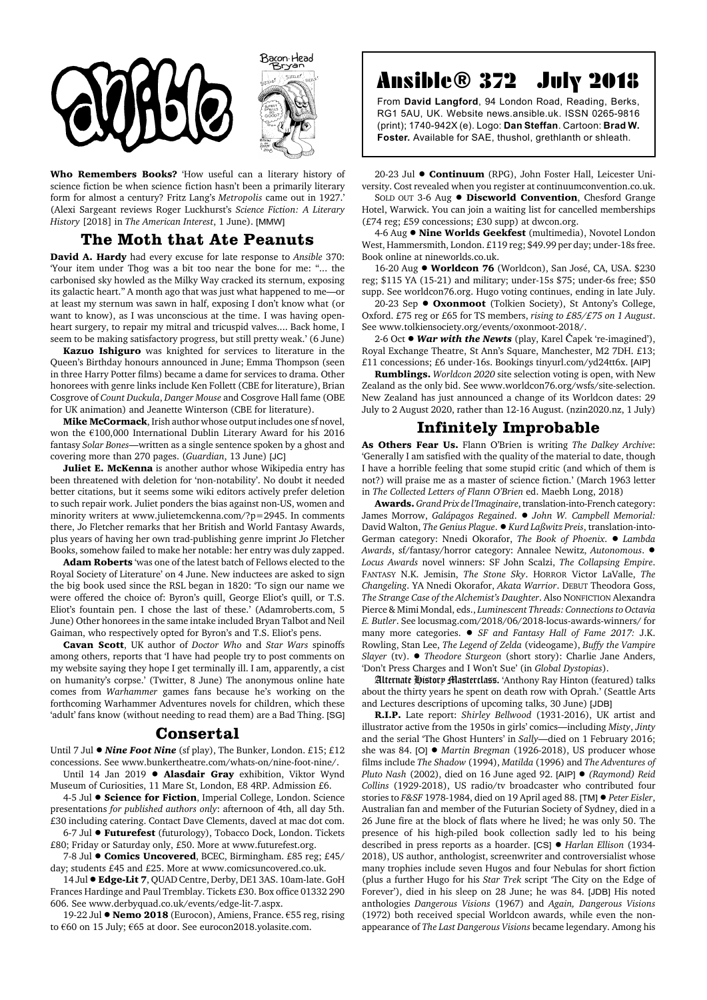



**Who Remembers Books?** 'How useful can a literary history of science fiction be when science fiction hasn't been a primarily literary form for almost a century? Fritz Lang's *Metropolis* came out in 1927.' (Alexi Sargeant reviews Roger Luckhurst's *Science Fiction: A Literary History* [2018] in *The American Interest*, 1 June). [MMW]

## **The Moth that Ate Peanuts**

**David A. Hardy** had every excuse for late response to *Ansible* 370: 'Your item under Thog was a bit too near the bone for me: "... the carbonised sky howled as the Milky Way cracked its sternum, exposing its galactic heart." A month ago that was just what happened to me—or at least my sternum was sawn in half, exposing I don't know what (or want to know), as I was unconscious at the time. I was having openheart surgery, to repair my mitral and tricuspid valves.... Back home, I seem to be making satisfactory progress, but still pretty weak.' (6 June)

**Kazuo Ishiguro** was knighted for services to literature in the Queen's Birthday honours announced in June; Emma Thompson (seen in three Harry Potter films) became a dame for services to drama. Other honorees with genre links include Ken Follett (CBE for literature), Brian Cosgrove of *Count Duckula*, *Danger Mouse* and Cosgrove Hall fame (OBE for UK animation) and Jeanette Winterson (CBE for literature).

**Mike McCormack**, Irish author whose output includes one sf novel, won the €100,000 International Dublin Literary Award for his 2016 fantasy *Solar Bones*—written as a single sentence spoken by a ghost and covering more than 270 pages. (*Guardian*, 13 June) [JC]

**Juliet E. McKenna** is another author whose Wikipedia entry has been threatened with deletion for 'non-notability'. No doubt it needed better citations, but it seems some wiki editors actively prefer deletion to such repair work. Juliet ponders the bias against non-US, women and minority writers at www.julietemckenna.com/?p=2945. In comments there, Jo Fletcher remarks that her British and World Fantasy Awards, plus years of having her own trad-publishing genre imprint Jo Fletcher Books, somehow failed to make her notable: her entry was duly zapped.

**Adam Roberts** 'was one of the latest batch of Fellows elected to the Royal Society of Literature' on 4 June. New inductees are asked to sign the big book used since the RSL began in 1820: 'To sign our name we were offered the choice of: Byron's quill, George Eliot's quill, or T.S. Eliot's fountain pen. I chose the last of these.' (Adamroberts.com, 5 June) Other honorees in the same intake included Bryan Talbot and Neil Gaiman, who respectively opted for Byron's and T.S. Eliot's pens.

**Cavan Scott**, UK author of *Doctor Who* and *Star Wars* spinoffs among others, reports that 'I have had people try to post comments on my website saying they hope I get terminally ill. I am, apparently, a cist on humanity's corpse.' (Twitter, 8 June) The anonymous online hate comes from *Warhammer* games fans because he's working on the forthcoming Warhammer Adventures novels for children, which these 'adult' fans know (without needing to read them) are a Bad Thing. [SG]

## **Consertal**

Until 7 Jul  $\bullet$  *Nine Foot Nine* (sf play), The Bunker, London. £15; £12 concessions. See www.bunkertheatre.com/whats-on/nine-foot-nine/.

Until 14 Jan 2019 . Alasdair Gray exhibition, Viktor Wynd Museum of Curiosities, 11 Mare St, London, E8 4RP. Admission £6.

4-5 Jul  $\bullet$  **Science for Fiction**, Imperial College, London. Science presentations *for published authors only*: afternoon of 4th, all day 5th. £30 including catering. Contact Dave Clements, davecl at mac dot com.

6-7 Jul ! **Futurefest** (futurology), Tobacco Dock, London. Tickets £80; Friday or Saturday only, £50. More at www.futurefest.org.

7-8 Jul  $\bullet$  **Comics Uncovered**, BCEC, Birmingham. £85 reg; £45/ day; students £45 and £25. More at www.comicsuncovered.co.uk.

14 Jul  $\bullet$  **Edge-Lit 7**, QUAD Centre, Derby, DE1 3AS. 10am-late. GoH Frances Hardinge and Paul Tremblay. Tickets £30. Box office 01332 290 606. See www.derbyquad.co.uk/events/edge-lit-7.aspx.

19-22 Jul ● Nemo 2018 (Eurocon), Amiens, France. €55 reg, rising to €60 on 15 July; €65 at door. See eurocon2018.yolasite.com.

## Ansible® 372 July 2018

From **David Langford**, 94 London Road, Reading, Berks, RG1 5AU, UK. Website news.ansible.uk. ISSN 0265-9816 (print); 1740-942X (e). Logo: **Dan Steffan**. Cartoon: **Brad W. Foster.** Available for SAE, thushol, grethlanth or shleath.

20-23 Jul  $\bullet$  **Continuum** (RPG), John Foster Hall, Leicester University. Cost revealed when you register at continuumconvention.co.uk.

SOLD OUT 3-6 Aug  $\bullet$  **Discworld Convention**, Chesford Grange Hotel, Warwick. You can join a waiting list for cancelled memberships (£74 reg; £59 concessions; £30 supp) at dwcon.org.

4-6 Aug  $\bullet$  **Nine Worlds Geekfest** (multimedia), Novotel London West, Hammersmith, London. £119 reg; \$49.99 per day; under-18s free. Book online at nineworlds.co.uk.

16-20 Aug  $\bullet$  Worldcon 76 (Worldcon), San José, CA, USA. \$230 reg; \$115 YA (15-21) and military; under-15s \$75; under-6s free; \$50 supp. See worldcon76.org. Hugo voting continues, ending in late July.

20-23 Sep ! **Oxonmoot** (Tolkien Society), St Antony's College, Oxford. £75 reg or £65 for TS members, *rising to £85/£75 on 1 August*. See www.tolkiensociety.org/events/oxonmoot-2018/.

2-6 Oct ● *War with the Newts* (play, Karel Čapek 're-imagined'), Royal Exchange Theatre, St Ann's Square, Manchester, M2 7DH. £13; £11 concessions; £6 under-16s. Bookings tinyurl.com/yd24tt6x. [AIP]

**Rumblings.** *Worldcon 2020* site selection voting is open, with New Zealand as the only bid. See www.worldcon76.org/wsfs/site-selection. New Zealand has just announced a change of its Worldcon dates: 29 July to 2 August 2020, rather than 12-16 August. (nzin2020.nz, 1 July)

## **Infinitely Improbable**

**As Others Fear Us.** Flann O'Brien is writing *The Dalkey Archive*: 'Generally I am satisfied with the quality of the material to date, though I have a horrible feeling that some stupid critic (and which of them is not?) will praise me as a master of science fiction.' (March 1963 letter in *The Collected Letters of Flann O'Brien* ed. Maebh Long, 2018)

**Awards.** *Grand Prix de l'Imaginaire*, translation-into-French category: James Morrow, Galápagos Regained. · John W. Campbell Memorial: David Walton, *The Genius Plague*. ! *Kurd Laßwitz Preis*, translation-into-German category: Nnedi Okorafor, *The Book of Phoenix*. ! *Lambda Awards*, sf/fantasy/horror category: Annalee Newitz, *Autonomous*. ! *Locus Awards* novel winners: SF John Scalzi, *The Collapsing Empire*. FANTASY N.K. Jemisin, *The Stone Sky*. HORROR Victor LaValle, *The Changeling*. YA Nnedi Okorafor, *Akata Warrior*. DEBUT Theodora Goss, *The Strange Case of the Alchemist's Daughter*. Also NONFICTION Alexandra Pierce & Mimi Mondal, eds., *Luminescent Threads: Connections to Octavia E. Butler*. See locusmag.com/2018/06/2018-locus-awards-winners/ for many more categories. ! *SF and Fantasy Hall of Fame 2017:* J.K. Rowling, Stan Lee, *The Legend of Zelda* (videogame), *Buffy the Vampire Slayer* (tv). ! *Theodore Sturgeon* (short story): Charlie Jane Anders, 'Don't Press Charges and I Won't Sue' (in *Global Dystopias*).

Alternate History Masterclass. 'Anthony Ray Hinton (featured) talks about the thirty years he spent on death row with Oprah.' (Seattle Arts and Lectures descriptions of upcoming talks, 30 June) [JDB]

**R.I.P.** Late report: *Shirley Bellwood* (1931-2016), UK artist and illustrator active from the 1950s in girls' comics—including *Misty*, *Jinty* and the serial 'The Ghost Hunters' in *Sally*—died on 1 February 2016; she was 84. [O]  $\bullet$  *Martin Bregman* (1926-2018), US producer whose films include *The Shadow* (1994), *Matilda* (1996) and *The Adventures of Pluto Nash* (2002), died on 16 June aged 92. [AIP] ! *(Raymond) Reid Collins* (1929-2018), US radio/tv broadcaster who contributed four stories to *F&SF* 1978-1984, died on 19 April aged 88. [TM]  $\bullet$  *Peter Eisler*, Australian fan and member of the Futurian Society of Sydney, died in a 26 June fire at the block of flats where he lived; he was only 50. The presence of his high-piled book collection sadly led to his being described in press reports as a hoarder. [CS] ! *Harlan Ellison* (1934- 2018), US author, anthologist, screenwriter and controversialist whose many trophies include seven Hugos and four Nebulas for short fiction (plus a further Hugo for his *Star Trek* script 'The City on the Edge of Forever'), died in his sleep on 28 June; he was 84. [JDB] His noted anthologies *Dangerous Visions* (1967) and *Again, Dangerous Visions* (1972) both received special Worldcon awards, while even the nonappearance of *The Last Dangerous Visions* became legendary. Among his